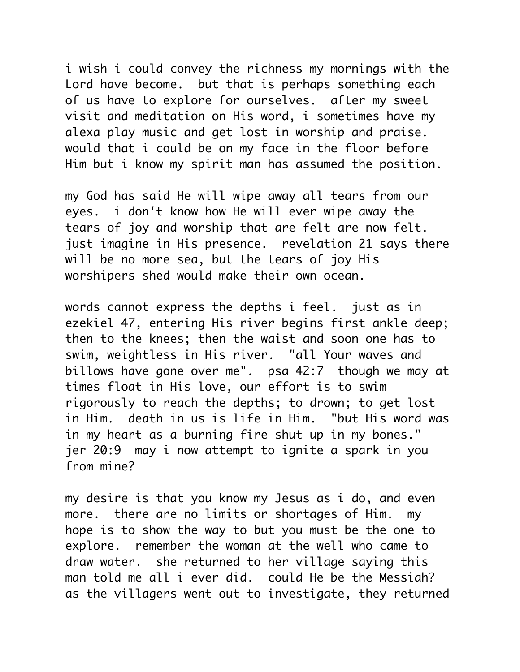i wish i could convey the richness my mornings with the Lord have become. but that is perhaps something each of us have to explore for ourselves. after my sweet visit and meditation on His word, i sometimes have my alexa play music and get lost in worship and praise. would that i could be on my face in the floor before Him but i know my spirit man has assumed the position.

my God has said He will wipe away all tears from our eyes. i don't know how He will ever wipe away the tears of joy and worship that are felt are now felt. just imagine in His presence. revelation 21 says there will be no more sea, but the tears of joy His worshipers shed would make their own ocean.

words cannot express the depths i feel. just as in ezekiel 47, entering His river begins first ankle deep; then to the knees; then the waist and soon one has to swim, weightless in His river. "all Your waves and billows have gone over me". psa 42:7 though we may at times float in His love, our effort is to swim rigorously to reach the depths; to drown; to get lost in Him. death in us is life in Him. "but His word was in my heart as a burning fire shut up in my bones." jer 20:9 may i now attempt to ignite a spark in you from mine?

my desire is that you know my Jesus as i do, and even more. there are no limits or shortages of Him. my hope is to show the way to but you must be the one to explore. remember the woman at the well who came to draw water. she returned to her village saying this man told me all i ever did. could He be the Messiah? as the villagers went out to investigate, they returned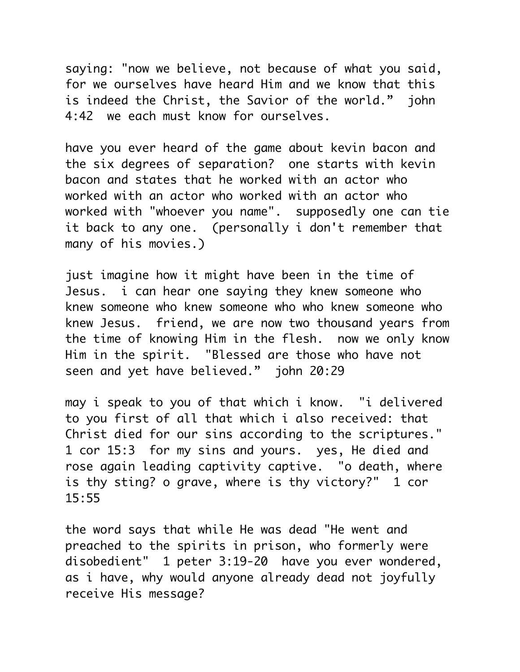saying: "now we believe, not because of what you said, for we ourselves have heard Him and we know that this is indeed the Christ, the Savior of the world." john 4:42 we each must know for ourselves.

have you ever heard of the game about kevin bacon and the six degrees of separation? one starts with kevin bacon and states that he worked with an actor who worked with an actor who worked with an actor who worked with "whoever you name". supposedly one can tie it back to any one. (personally i don't remember that many of his movies.)

just imagine how it might have been in the time of Jesus. i can hear one saying they knew someone who knew someone who knew someone who who knew someone who knew Jesus. friend, we are now two thousand years from the time of knowing Him in the flesh. now we only know Him in the spirit. "Blessed are those who have not seen and yet have believed." john 20:29

may i speak to you of that which i know. "i delivered to you first of all that which i also received: that Christ died for our sins according to the scriptures." 1 cor 15:3 for my sins and yours. yes, He died and rose again leading captivity captive. "o death, where is thy sting? o grave, where is thy victory?" 1 cor 15:55

the word says that while He was dead "He went and preached to the spirits in prison, who formerly were disobedient" 1 peter 3:19-20 have you ever wondered, as i have, why would anyone already dead not joyfully receive His message?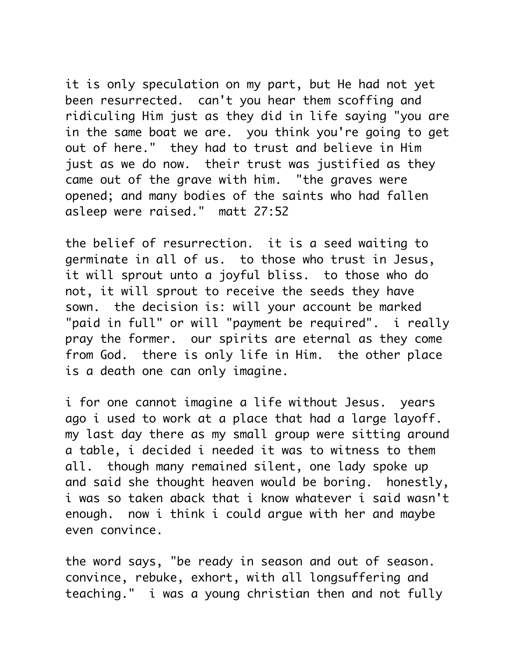it is only speculation on my part, but He had not yet been resurrected. can't you hear them scoffing and ridiculing Him just as they did in life saying "you are in the same boat we are. you think you're going to get out of here." they had to trust and believe in Him just as we do now. their trust was justified as they came out of the grave with him. "the graves were opened; and many bodies of the saints who had fallen asleep were raised." matt 27:52

the belief of resurrection. it is a seed waiting to germinate in all of us. to those who trust in Jesus, it will sprout unto a joyful bliss. to those who do not, it will sprout to receive the seeds they have sown. the decision is: will your account be marked "paid in full" or will "payment be required". i really pray the former. our spirits are eternal as they come from God. there is only life in Him. the other place is a death one can only imagine.

i for one cannot imagine a life without Jesus. years ago i used to work at a place that had a large layoff. my last day there as my small group were sitting around a table, i decided i needed it was to witness to them all. though many remained silent, one lady spoke up and said she thought heaven would be boring. honestly, i was so taken aback that i know whatever i said wasn't enough. now i think i could argue with her and maybe even convince.

the word says, "be ready in season and out of season. convince, rebuke, exhort, with all longsuffering and teaching." i was a young christian then and not fully